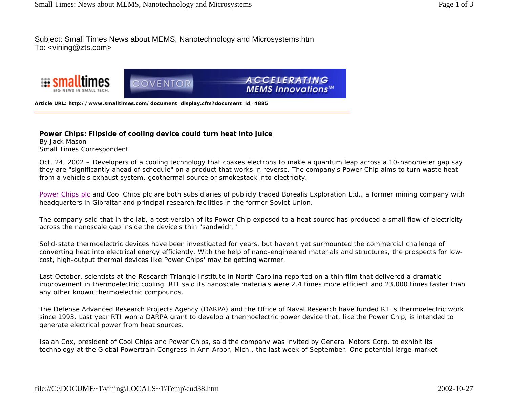Subject: Small Times News about MEMS, Nanotechnology and Microsystems.htm To: <vining@zts.com>





**ACCELERATING MEMS Innovations™** 

**Article URL: http://www.smalltimes.com/document\_display.cfm?document\_id=4885**

## **Power Chips: Flipside of cooling device could turn heat into juice**

By Jack Mason Small Times Correspondent

Oct. 24, 2002 – Developers of a cooling technology that coaxes electrons to make a quantum leap across a 10-nanometer gap say they are "significantly ahead of schedule" on a product that works in reverse. The company's Power Chip aims to turn waste heat from a vehicle's exhaust system, geothermal source or smokestack into electricity.

Power Chips plc and Cool Chips plc are both subsidiaries of publicly traded Borealis Exploration Ltd., a former mining company with headquarters in Gibraltar and principal research facilities in the former Soviet Union.

The company said that in the lab, a test version of its Power Chip exposed to a heat source has produced a small flow of electricity across the nanoscale gap inside the device's thin "sandwich."

Solid-state thermoelectric devices have been investigated for years, but haven't yet surmounted the commercial challenge of converting heat into electrical energy efficiently. With the help of nano-engineered materials and structures, the prospects for lowcost, high-output thermal devices like Power Chips' may be getting warmer.

Last October, scientists at the Research Triangle Institute in North Carolina reported on a thin film that delivered a dramatic improvement in thermoelectric cooling. RTI said its nanoscale materials were 2.4 times more efficient and 23,000 times faster than any other known thermoelectric compounds.

The Defense Advanced Research Projects Agency (DARPA) and the Office of Naval Research have funded RTI's thermoelectric work since 1993. Last year RTI won a DARPA grant to develop a thermoelectric power device that, like the Power Chip, is intended to generate electrical power from heat sources.

Isaiah Cox, president of Cool Chips and Power Chips, said the company was invited by General Motors Corp. to exhibit its technology at the Global Powertrain Congress in Ann Arbor, Mich., the last week of September. One potential large-market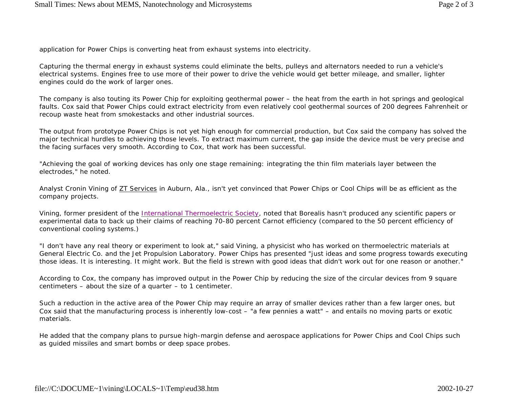application for Power Chips is converting heat from exhaust systems into electricity.

Capturing the thermal energy in exhaust systems could eliminate the belts, pulleys and alternators needed to run a vehicle's electrical systems. Engines free to use more of their power to drive the vehicle would get better mileage, and smaller, lighter engines could do the work of larger ones.

The company is also touting its Power Chip for exploiting geothermal power – the heat from the earth in hot springs and geological faults. Cox said that Power Chips could extract electricity from even relatively cool geothermal sources of 200 degrees Fahrenheit or recoup waste heat from smokestacks and other industrial sources.

The output from prototype Power Chips is not yet high enough for commercial production, but Cox said the company has solved the major technical hurdles to achieving those levels. To extract maximum current, the gap inside the device must be very precise and the facing surfaces very smooth. According to Cox, that work has been successful.

"Achieving the goal of working devices has only one stage remaining: integrating the thin film materials layer between the electrodes," he noted.

Analyst Cronin Vining of ZT Services in Auburn, Ala., isn't yet convinced that Power Chips or Cool Chips will be as efficient as the company projects.

Vining, former president of the International Thermoelectric Society, noted that Borealis hasn't produced any scientific papers or experimental data to back up their claims of reaching 70-80 percent Carnot efficiency (compared to the 50 percent efficiency of conventional cooling systems.)

"I don't have any real theory or experiment to look at," said Vining, a physicist who has worked on thermoelectric materials at General Electric Co. and the Jet Propulsion Laboratory. Power Chips has presented "just ideas and some progress towards executing those ideas. It is interesting. It might work. But the field is strewn with good ideas that didn't work out for one reason or another."

According to Cox, the company has improved output in the Power Chip by reducing the size of the circular devices from 9 square centimeters – about the size of a quarter – to 1 centimeter.

Such a reduction in the active area of the Power Chip may require an array of smaller devices rather than a few larger ones, but Cox said that the manufacturing process is inherently low-cost – "a few pennies a watt" – and entails no moving parts or exotic materials.

He added that the company plans to pursue high-margin defense and aerospace applications for Power Chips and Cool Chips such as guided missiles and smart bombs or deep space probes.